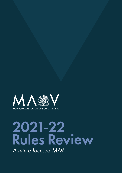

A future focused MAV-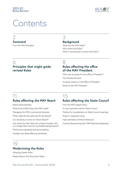

# **Contents**

# [2](#page-2-0) **[Foreword](#page-2-0)**

[From the MAV President](#page-2-0)

# [3](#page-3-0) **[Background](#page-3-0)**

[What are the MAV Rules?](#page-3-0) [Why review the Rules?](#page-4-0) [What is the process to review the Rules?](#page-4-0)

# [6](#page-6-0)

# **[Principles that might guide](#page-6-0)  [revised Rules](#page-6-0)**

# [8](#page-8-0)

# **[Rules affecting the office](#page-8-0)  [of the MAV President](#page-8-0)**

[Who may nominate for the office of President?](#page-8-0) [The Presidential term](#page-9-0) [A casual vacancy in the office of President](#page-9-0) [Rules for the MAV President](#page-9-0)

# [11](#page-11-0) **[Rules affecting the MAV Board](#page-11-0)**

[Board responsibilities](#page-11-0)

[What kind of Board does the MAV need?](#page-11-0)

[Managing the MAV's commercial interests](#page-12-0)

[What might be the right size for the Board?](#page-13-0)

[Is it necessary to have an Interim Board?](#page-13-0)

[How does the MAV deal with a Board member who](#page-13-0)  [is no longer their Council's nominated representative?](#page-13-0)

[Performance appraisal and accountability](#page-13-0)

[Possible new Rules affecting the Board](#page-14-0)

# [15](#page-15-0)

# **[Rules affecting the State Council](#page-15-0)**

[How the MAV adopts Policy](#page-15-0)

[A more important role for State Council](#page-16-0)

[Matters for consideration at State Council meetings](#page-16-0)

[Plural or weighted voting](#page-17-0)

[High standards of ethical behaviour](#page-18-0)

[Councils discontinuing their MAV financial membership](#page-18-0)

# [19](#page-19-0) **[Modernising the Rules](#page-19-0)**

[Adopting clearer Rules](#page-19-0) [Responding to this Discussion Paper](#page-19-0)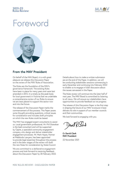

# <span id="page-2-0"></span>Foreword



### **From the MAV President**

On behalf of the MAV Board, it is with great pleasure we release this Discussion Paper on the review of the MAV Rules of Association.

The Rules are the foundation of the MAV's governance framework. The existing Rules have been in place for many years and were last amended in 2013. It is timely as the peak body for local government in Victoria that we undertake a comprehensive review of our Rules to ensure we are best placed to support the sector now and into the future.

The release of the Discussion Paper marks the commencement of this process. This Paper poses some thought-provoking questions, critical issues for consideration and includes draft principles on which the new Rules could be based.

The MAV has engaged expert consultants to assist us. Local government professional, Mr. Phil Shanahan is the lead consultant and will be supported by Capire, a specialist community engagement company who design and deliver stakeholder engagement processes. Mr. Mark Hayes, Partner at Maddocks Lawyers, has been appointed to provide legal expertise throughout the process and in the later stages of the review will draft the new Rules for consideration by State Council.

We are committed to a deliberative engagement process and look forward to receiving feedback about this Discussion Paper by 28 February 2022. Details about how to make a written submission are at the end of the Paper. In addition, we will be conducting stakeholder sessions commencing in early December and continuing into February 2022 to enable us to engage in fuller discussion about the issues canvassed in the Paper.

The Rules review will continue into the later half of next year. The MAV Board is committed to listening to all views. We will ensure our stakeholders have opportunities to provide feedback as we progress.

The release of this Discussion Paper is the first step in shaping the future of our MAV to ensure it best delivers its role in support of our member councils and their communities.

We look forward to engaging with you.

**Cr David Clark MAV President** 22 November 2021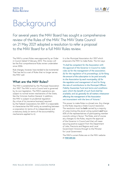

# <span id="page-3-0"></span>Background

For several years the MAV Board has sought a comprehensive review of the Rules of the MAV. The MAV State Council on 21 May 2021 adopted a resolution to refer a proposal to the MAV Board for a full MAV Rules review.

The MAV's current Rules were approved by an Order in Council dated 5 February 2013. This review will be the first comprehensive Rules review undertaken since 2006.

Rule changes, however, have tended to be incremental. That has led to a set of Rules that no longer serves the MAV well.

### **What are the MAV Rules?**

The MAV is established by the *Municipal Association Act 1907*. The MAV is not a Council and is governed by its own legislation. The MAV's operations are subject to normal review mechanisms of the State, like the Victorian Auditor-General. In addition, the MAV is subject to prudential regulation (by virtue of its insurance business) required by the Federal *Corporations Act 2001*. It is reasonable to characterise the MAV entity as something between a corporation (in terms of its independence) and a statutory body (in terms of the accountability mechanisms applied to it).

It is the *Municipal Association Act 1907* which empowers the MAV to make Rules. The Act says:

*"It shall be competent for the Association with the approval of the Governor in Council to make rules (a) for the management of the association; (b) for the regulation of its proceedings; (c) for fixing the amount of the subscription to be paid annually to the Association by each municipality; (d) for the regulation and management of and for fixing the rate of contributions to the Municipal Officers Fidelity Guarantee Fund and terms and conditions upon which the benefit of such fund shall be available; and (e) generally for all matters whatsoever affecting the management of the Association not inconsistent with the laws of Victoria."*

This power to make Rules is a broad one. Any change to the Rules requires a State Council resolution. The resolution must be **both** carried by a majority of votes (noting the plural voting system) and have 60% of the representatives of participating member councils voting in favour. The Rules, and of course any changes to the Rules, require the approval of the Governor in Council and that will mean securing positive support from the Department of Jobs, Precincts and Regions and Local Government Victoria through to the Minister for Local Government.

The MAV's current Rules are on the MAV website at **[mav.asn.au](https://www.mav.asn.au/who-we-are/governance/rules)**.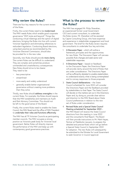

# <span id="page-4-0"></span>**Why review the Rules?**

There are four key reasons for the current review of the Rules.

Firstly, the current Rules need to be modernised. The MAV needs Rules which enable good corporate governance "2021 style and beyond". Things like conducting virtual meetings and the option of digital elections, bringing the Rules into line with current Victorian legislation and eliminating references to redundant legislation. Conducting Board elections, using best practice as recommended by the Victorian Electoral Commission, should also be provided for in the new rules.

Secondly, new Rules should provide more clarity. The current Rules can be difficult to understand. They are complex and sometimes produce unintended and unsatisfactory consequences. New Rules should strive to be clearer. They need to be:

- less prescriptive
- streamlined
- more easily and widely understood
- generally enable better organisational governance without creating more problems than they solve.

Thirdly, new Rules should address oversights in the current Rules. For example, the Rules should require that the MAV establishes and maintains an Audit and Risk Advisory Committee. This should not be left to the good sense of the Board.

Finally, the current Rules need to enable the State Council, the MAV Board and the office of MAV President to undertake their roles and functions effectively.

The MAV has all 79 Victorian Councils as participating member councils. The MAV occupies a strong position as Victoria's peak body for Victorian local government. Better Rules will directly improve the performance of the MAV and keep up with contemporary good governance practices.

# **What is the process to review the Rules?**

The MAV has engaged Mr. Philip Shanahan, an experienced former Local Government CEO and current consultant, to undertake the Rules review. Mr. Shanahan will be assisted by Capire Consulting Group, who have expertise and experience in stakeholder engagement and local government. The brief for the Rules review requires the consultants to undertake four key activities.

- A Discussion Paper which will outline a framework, principles and the opportunities for new Rules. The Discussion Paper will canvass possible Rule changes and seek sector and stakeholder responses.
- 2. A Directions Paper based on feedback to the Discussion Paper, the Directions Paper will provide clarity around the kind of Rules that are under consideration. The Directions Paper will be sufficiently detailed to enable stakeholders to understand exactly what is being contemplated and to convey responses to those proposals.
- 3. State Council deliberations the State Council scheduled for June 2022 will consider the Directions Paper and the feedback provided by stakeholders to that Paper. The State Council will decide on the matters set out in the Directions Paper and, by doing so, provide clear advice and direction to the MAV Board about State Council preferences in relation to the new set of Rules under consideration.
- 4. Revised Rules and a Special State Council Meeting scheduled for September 2022 – the MAV Board will receive the State Council directions from the meeting in June 2022 and the consultant's final Report. The Board will then provide instructions to Mr. Mark Hayes, Partner at Maddocks Lawyers, to prepare the detailed and precise Rules which will go before a Special State Council in September 2022 for adoption. The new Rules will subsequently be submitted to the Minister for Local Government to seek Governor in Council approval.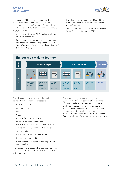

The process will be supported by extensive stakeholder engagement and consultation particularly around the Discussion Paper and the Directions Paper. MAV Representatives will be fully engaged through:

- A representatives and CEOs on-line workshop on 26 November 2021
- Small round table, on-line discussion groups to consider both Papers during December- February 2022 (Discussion Paper) and April and May 2022 (Directions Paper)
- Participation in the June State Council to provide clear direction on Rules change preferences to the Board, and
- The final adoption of new Rules at the Special State Council in September 2022.

# **MAV Rules Review: Decision Making Journey The decision making journey**



The following important stakeholders will be included in engagement processes:

- MAV Representatives
- member councils
- mayors
- CEOs
- Minister for Local Government
- Local Government Victoria and Department of Jobs, Precincts and Regions
- Australian Local Government Association
- state associations
- the Victorian Electoral Commission
- the Victorian Auditor-General's Office
- other relevant state government departments and agencies.

The engagement process will encourage interested parties to take part to inform the various phases of the process.

The process is, by necessity, a long one. Current MAV Rules are specific about the kind of notice members must be given to consider any Rules changes. This Rules review can only reach a successful conclusion if timelines are kept. The consultant team will ensure stakeholders are keenly aware of the key dates in the process. Our focus will be on facilitating stakeholder responses.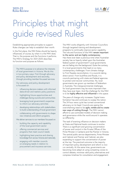

# <span id="page-6-0"></span>Principles that might guide revised Rules

Establishing appropriate principles to support Rules changes can help to establish their worth.

In the first place, the MAV Rules should be heavily influenced, of course, by what it is the MAV does. That is, the purpose and the functions it performs. The MAV's Strategy for 2021-2025 describes its function and purpose as follows:

The MAV's purpose is to advance the interests of local government in Victoria. We do this in two primary ways. First through advocacy and policy development and secondly, through providing member-focussed services.

Our advocacy and policy development is focussed on:

- influencing decision-makers with informed data-driven and realistic policy positions
- highlighting future opportunities and challenges facing councils and communities
- leveraging local government's expertise to inform our advocacy activities
- developing relationships with stakeholders to build understanding of local government
- collaborating with governments to shape new initiatives and reform programs.

We deliver services to our members focussed on:

- building the capacity and capability of the local government sector
- offering commercial services and programs that meet council needs
- highlighting best practice and sharing knowledge from across Victoria and nationally
- engaging with member councils on emerging needs in relation to procurement and insurance services.

The MAV works diligently with Victorian Councillors through targeted training and development programs to continually improve sector capability. The role and functions of the MAV remain important to the sector and are highly contemporary. Has there ever been a previous time when Australian society has so heavily relied upon the Australian federal system of government? Local governments are not fading into the background. Quite the contrary. It is local governments that lead on so many contemporary challenges. From climate change to First Peoples reconciliation, it is councils taking direct action. From bushfires and floods, it is councils partnering with state and federal agencies to protect and recover communities. No, local governments are grown up members of federalism in Australia. The intergovernmental challenges for local government may be more important than they have ever been. And the challenge for the MAV is to be highly effective and influential in this space.

The pace of change only increases. Digital transformation has and continues to sweep the nation. The 24 hour news cycle has turned conventional advocacy on its head. Councils are seeing the overwhelming need to be agile, nimble and to create new ways of cutting through. The MAV cannot afford to use outmoded models of decision making and governance while the world around it operates so differently.

The task of exerting influence on decision makers at State and National levels continues to evolve. There is a significant and growing concentration of power and control in the Private Offices of the Prime Minister in Canberra and the Premier in Victoria. The central public service departments, Prime Minister and Cabinet and Premier and Cabinet, are also expanding to support the concentration of power at the top. The practical outcome is the majority of important policy development and reform is now run centrally. At the same time, governments are becoming more adept at using competing voices to control debate, minimise valid policy alternatives and compress timelines for consultation and engagement.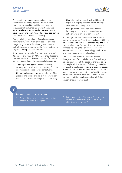As a result, a refreshed approach is required to influence the policy agenda. The new "tools" that organisations like the MAV must employ to successfully influence government policy are expert analysis, complex evidence-based policy development and sophisticated political positioning. And these "tools" do not come cheap!

Finally, only high standards of good governance, accountability and ethical practices can address the growing cynicism felt about governments and institutions around the world. The MAV must aspire to gain and keep these credentials.

All of these trends and influences impact the MAV, its purpose and function. MAV Rules should respond to these trends and influences. Success for the MAV may well depend upon how successfully it can be:

- A strong sector leader highly influential, strongly supported by its participating Councils and respected across a wide constituency.
- Modern and contemporary an adopter of best practice and nimble and agile in the way it can respond and adjust to change and opportunity.
- Credible well informed, highly skilled and capable of arguing complex issues with rigour, persuasion and timely data.
- Well governed seek high performance, be highly accountable to its members and set a shining example of ethical practice.

It is through this kind of lens that new MAV Rules should be evaluated. This Discussion Paper will focus on contemplating new Rules that can help the MAV play its role more effectively. In many cases the changes may be quite significant. There will be a departure from the incremental approach taken over many years to make Rules changes.

This Discussion Paper will probably attract divergent views from stakeholders. That will largely be a consequence of the scope of changes being contemplated. The process of changing the Rules to meet the challenges of now and the next decade or two will not be well informed by looking in the rear vision mirror at where the MAV and the sector have been. The focus must be on what it is that we need the MAV to achieve and which Rules support that endeavour best.

- 1. Do you think these principles are the right ones to guide Rule changes?
- 2. Is the focus of this Discussion Paper on new Rules which enable the MAV to be more effective the right focus?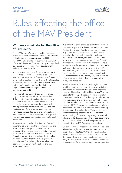

# <span id="page-8-0"></span>Rules affecting the office of the MAV President

# **Who may nominate for the office of President?**

The MAV President's role is critical to the success of the MAV. It is fundamental to the MAV's strength of leadership and organisational credibility. New MAV Rules should set out the role and function of the MAV President. This is currently accomplished by a Board protocol but is more appropriately included in the MAV Rules.

In many ways, the current Rules provide support for the President's role. For example, as soon as a member is elected as President, the Council on which the elected President is a sitting Councillor is invited to appoint an additional representative to the MAV. The elected President is then free to provide independent organisational and sector leadership.

The current Rules require that a Councillor can only nominate for the office of MAV President if they are the current nominated representative for their Council. This Rule addresses the issue of credibility. It also protects the interests of participating member councils. The Rule ensures the President of the MAV is drawn from the nominated representatives of the participating member councils. That is a conventional approach to a member-based organisation seeking to elect a President.

A proposal submitted to the May 2021 State Council sought to do away with the requirement that the MAV President always be a nominated Council representative. It would have enabled a President or Interim President who was not a nominated Council representative to nominate for the office of President. Note that the MAV is governed by an Interim Board during the 'Caretaker Period' between local government elections and the MAV Board elections.

It is difficult to think of any political structure where that kind of special entitlement extends to a former President or Interim President. The Interim President may or may not be the former President. It could be an Interim President, elected by the Board, in office for a short period, in a caretaker mode and not the nominated representative of their Council. Alternatively, such an Interim President might have extensive Board experience, or have previously made a strong and effective contribution to the MAV and be well regarded as a possible future President. The circumstances of their dis-endorsement as the MAV representative may, or may not, be a reflection of local issues as distinct from their capability in any Presidential role.

If such a proposal has merit, there might be a more significant and simpler reform to achieve a similar end. There is a school of thought which suggests the role of President could be filled by any Victorian Councillor from a participating member council at the time of the election. The thinking behind that idea revolves around providing a wider range of capable people from which to choose. There is no doubt that the role of MAV President demands serious skills and experience. The real role of the President is nothing like any kind of figurehead role. The role requires special leadership capabilities, a sophisticated understanding of contemporary intergovernmental relations, and a deep understanding of local government. Sound commercial skills are also important given the extent of the MAV's commercial services.

On the one hand, a broader field from which to elect a President might provide an opportunity to attract more "ideal candidates". On the other hand, an elected President who was not nominated as a Council's MAV Representative might create questions around the unity of the organisation. MAV credibility or even the independence of the President may come into question.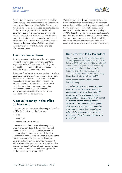

<span id="page-9-0"></span>Presidential elections where any sitting Councillor from a participating member council could nominate would attract larger candidate fields. This approach would be supported by organised political practices. Furthermore, larger numbers of Presidential candidates seems like an unwanted, unintended consequence. After all, there will only be 79 votes cast in the election and an exhaustive preferential voting system is currently in place. It is not difficult to imagine that, with a large field of candidates, the drawing of lots might determine the fate of some candidates!

# **The Presidential term**

A strong argument can be made that a two year Presidential term is too short. A two year term may not provide sufficient time for building the relationships, networks and trust that accompany influential intergovernmental relations.

A four year Presidential term, synchronised with local government general elections, seems to be a viable alternative. At the same time, it would be useful to consider whether restricting a President to a maximum number of consecutive terms would be in the interests of contemporary practice. Good organisations excel at renewal and reinvigorating themselves. It shows an agility that keeps everyone on their toes.

# **A casual vacancy in the office of President**

The current Rules allow a casual vacancy in the office of MAV President where the President:

- dies
- resians, or
- ceases to be a Councillor.

However, it is unclear if a casual vacancy occurs under the current Rules if the Council, on which the President is a sitting Councillor, ceases to be a participating member council of the MAV. A Victorian Supreme Court judgment in 2018 pointed to the inadequacies of the Rules is this regard. On the one hand, it might be difficult to support a Rule where a President, who is a sitting Councillor at a non-participating Council, could complete their term in office. Could such a Rule be supportable on the grounds of MAV credibility?

While the MAV Rules do seek to protect the office of the President from destabilisation, it does seem unlikely that the MAV's credibility would be enhanced if a President's Council was not a participating member of the MAV. On the other hand, perhaps the MAV Rules should assist in removing the President's vulnerability to the whims of any particular local council. This would guarantee greater leadership stability and ensure the President represents the whole municipal sector rather than one particular constituency.

# **Rules for the MAV President**

There is no doubt that the MAV Rules need a thorough overhaul. Under the current MAV Rules, in 2017 and 2018, the MAV found itself in the Victorian Supreme Court contesting issues around who could nominate for President and what was the impact of a council, where the President was a sitting Councillor, withdrawing from the MAV.

In the second matter Justice Ginnane had this to say:

*" … While I accept that the court should attempt to avoid anomalous, absurd or unreasonable interpretations, the MAV Rules may create anomalies whichever interpretation is adopted and which cannot be avoided whichever interpretation is adopted…..The above analysis suggests that the MAV Rules have been amended from time to time without regard to the effect of the amendments on other parts of the rules. The rules might benefit from a revision."*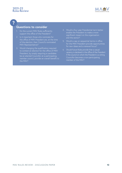

# $\overline{?}$

- 1. Do the current MAV Rules sufficiently support the office of the President?
- 2. Is it important those who nominate for the office of MAV President are, at the time of the election, their Council's nominated MAV Representative?
- 3. Would changing the qualification required to contest an election for the office of MAV President, by simply requiring a candidate be an elected Councillor at a participating member council, provide an overall benefit to the MAV?
- 4. Would a four year Presidential term better enable the President to make a more significant impact on the organisation and the sector?
- 5. Would a cap on sequential terms in office for the MAV President provide opportunities for new ideas and a renewal focus?
- 6. Should future Rules provide that a casual vacancy is declared in the office of the President if the council on which the President is a sitting Councillor becomes a non-participating member of the MAV?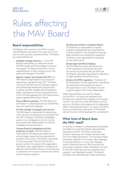

# <span id="page-11-0"></span>Rules affecting the MAV Board

# **Board responsibilities**

The Board's role is central to the MAV's success. The MAV Board must perform the same sort of role and functions as most corporate entities. The Board's key responsibilities are:

- Establish strategic direction. It is the MAV Board's responsibility to create and review the MAV's goals and the strategies to achieve those goals. The Board should allow Council representatives to have a strong voice in the goals and strategies of the MAV.
- Appoint, support and evaluate the CEO. The MAV Board is responsible for recruiting and appointing a high performing CEO. The Board will ensure the CEO has the necessary support and professional development opportunities to remain a skilled, capable and contemporary leader. The Board will monitor the performance of the CEO and appraise the CEO's performance against agreed Performance Criteria.
- Ensure effective planning. The MAV Board will participate in a planning process by establishing long term goals and strategies.
- Provide oversight of programs and services. The MAV Board is responsible for determining which services and programs are consistent with the MAV's Strategy. The Board will delegate powers to its management, and will monitor and evaluate the implementation of policies, strategies and business plans.
- Oversee financial management and the protection of assets. The MAV Board is responsible for developing and approving an annual budget supporting the organisation's programs and services. The Board is responsible for ensuring proper financial controls are in place to protect the assets of the organisation. The Board is also responsible for maintaining an effective Audit and Risk Advisory Committee and to respond to the results of external and internal audit procedures regularly.
- Develop and maintain a competent Board. The Board has a responsibility to explain to Board candidates the key responsibilities of Board members. This includes ensuring new Board members are inducted and supported. The Board is also responsible for evaluating its own performance.
- Ensure legal and ethical integrity. The MAV Board must set the ethical tone of the organisation and should articulate the values and principles that set that tone. The Board is ultimately responsible for adherence to legal standards and ethical norms.
- Enhance the MAV's reputation. The Board will be ambassadors for the organisation, articulating the importance of the goals and value of the organisation's work. The Board will work to garner support from its key stakeholders.

These responsibilities are usual for a Board. For the MAV, it will always be important that the Board can represent the interests of its member councils. The functions of the MAV Board currently set out in the Rules unfortunately do not adequately reflect those described above. As a part of the Rules review a contemporary description of the Board's role and function will be developed for consideration.

# **What kind of Board does the MAV need?**

It would be a mistake to underestimate the breadth and depth of conventional Board responsibilities required at the MAV. The MAV's two primary functions (advocacy and member services) need much from Board governance. This Discussion Paper has already referred to the modern day challenges of exerting influence in a noisy, fast changing world. Commercial services, like insurances and procurement, represent large investments and risks for the MAV. These services are competitive and operate in well developed markets. The Board's oversight and understanding of these businesses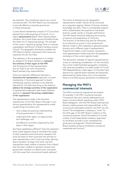

<span id="page-12-0"></span>are essential. They sometimes require very sound commercial skills. The MAV Board must be prepared to provide effective corporate governance to these enterprises.

Current Board membership consists of 12 Councillors elected from small groupings of Councils. It is a highly representative Board. When electing Board members, the current Rules require the Board divide the State into 12 regional groupings. The strength of the current "regional groupings" Rule is it ensures a geographic distribution of Board members around Victoria. This geographic distribution enables the MAV Board to better understand what issues are important all over the State.

The weakness in this arrangement is it creates an obligation for Board members to represent the interests of their region at the MAV. And the practice of that representation has too little to do with conventional Board members' key responsibilities.

There are important differences between a functional and representative approach to board membership. A functional approach to board membership requires members to be selected (elected) for the skills they bring to the board to address the strategic priorities of the organisation. A representative approach sees board members elected to represent the primary stakeholders of the organisation.

The representative model is the dominant characteristic of the MAV Board. Although it is an obvious generalisation this representative model usually brings Councillors who:

- have a deep and practical understanding of local government in Victoria
- understand their region, its opportunities and challenges, and
- are effective Councillors respected by their peers in their region.

Are these capabilities sufficient? Does the representative model regularly bring to the Board the range of skills, experience and motivation needed to be more focussed on their functional role and less on their representative role? Could new Rules, electing Board members "at large" from both rural and metropolitan areas, enable a transition from a Board that has been created to represent diverse local government interests to a Board more concerned with the issues that conventional boards address?

The notion of abandoning the "geographic representative model" should not be construed as an argument against a Board of diverse interests, knowledge and skills. There is considerable research which substantiates the proposition that Board diversity usually results in stronger performance. The MAV Board should be reflecting the diversity of opinions and experiences of Victorians. The diversity of the Board may also be influenced by its electoral structure. A more proportional election model is often adopted to generate greater diversity and a different type of representation. Proportional models would, however, necessarily move representation further away from the geographic immediacy of the current regional model.

The democratic mandate of regional representatives is also an interesting consideration. On the one hand, the current model facilitates geographic immediacy, with close accountability to a small number of Council MAV Representatives in each region. On the other hand, elections for regional board members are frequently determined by names drawn from a hat whenever there is a tie following any distribution of preferences.

# **Managing the MAV's commercial interests**

The MAV's commercial imperatives are evident, for example, in the MAV insurances business. Commercial risks are currently addressed by an expert Insurance Board, operating under a MAV Board delegation, with the MAV Board retaining final decision making powers and responsibilities. Is this a sound and sustainable model for the MAV into the future? The arrangement is seeking to "cover" for the skills gap on the MAV Board in relation to the insurances business. Would the addition of a small number of skill-based Board members, appointed by the Board, provide a more comprehensive governance arrangement? Would skill-based Board members enhance the Board's commercial credentials and function?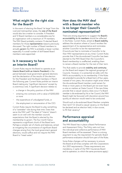

# <span id="page-13-0"></span>**What might be the right size for the Board?**

In the event of electing the Board "at large" from the rural and metropolitan areas, the size of the Board would also be a matter to consider. A President and 12 Board members is a considerable size for an organisation with a maximum of 79 members. The MAV Board probably contains 12 elected Board members for those representative reasons previously discussed. The right number of Board members to actually govern the MAV is probably a lesser number, especially if a small number of skill-based Board members were appointed.

## **Is it necessary to have an Interim Board?**

Current Rules require the Board to operate as an Interim Board (with an Interim President) in the period between local government general elections and the declaration of the results of the election for the President and the Board members in March the following year. Current Rules prohibit an Interim Board making any "significant decisions" except by a unanimous vote. A significant decision relates to:

- a change in the policy position of the MAV
- entering into contracts with a value of \$200,000 or more
- the expenditure of unbudgeted funds, or
- the employment or remuneration of the CEO.

Current Rules require the Board to play something of a "caretaker" role during that time. Does that serve the MAV well? The label of "Interim" doesn't seem to sit well with the member councils' expectations that the Board is elected by the membership to govern. The four month hiatus represents a significant chunk of the Board term. Perhaps a simpler set of checks and balances, aimed at mitigating the circumstance of significant Board changes arising from the local government general elections, would suffice and not require the MAV Board to "tread water".

# **How does the MAV deal with a Board member who is no longer their Council's nominated representative?**

There are strong arguments to suggest the Board's accountability to its members should be reflected in the Rules. Current Rules, aimed at Board stability, address the situation where a Council revokes the appointment of its representative and nominates another Councillor to be the representative (Councils are free to nominate a Councillor to be their MAV representative at any time). Current Rules provide that if the dis-endorsed Councillor has been elected to the MAV Board then the Councillor's Board membership is unaffected, enabling them to remain a Board member for the rest of their term.

This Rule seeks to provide stability and continuity on the Board and respect the regional groupings of Councils. However, it is somewhat at odds with the MAV's accountability to its membership. If the Rules are amended to provide for a Board term of four years, instead of two years, the situation might arise where the dis-endorsed Board member could remain for three or more years on the Board yet not even have a vote on matters at State Council. If the new Rules provide that a casual vacancy does occur if a Board member is dis-endorsed by his or her Council, the MAV Board might be favoured with discretion around how quickly an election would need to be conducted.

Should such a dis-endorsed Board Member complete their term? Or should a casual vacancy on the Board be declared and an election held, in due course, to fill that vacancy?

# **Performance appraisal and accountability**

The MAV Board has in place a Board Performance and Assessment Policy. The Policy sets out how the individual and collective performance of MAV Board members will be assessed. There is a strong argument to say the requirement for periodic Board performance evaluation should form part of the Rules.

Some Rules changes will be necessary to ensure the Board at all times complies with the *Corporations Act 2001* requirements. (These requirements are mandatory, in spite of the MAV Insurances Board and its operation, to which the same provisions apply.)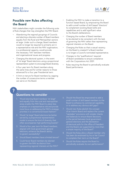

# <span id="page-14-0"></span>**Possible new Rules affecting the Board**

MAV stakeholders might consider the following suite of Rule changes that may strengthen the MAV Board.

- Abandoning the regional groupings of Councils and electing a discrete number of Board members equally from the Rural and Metropolitan sectors at large. Under such a change, Board members would no longer be required to primarily act in a representative role and the MAV organisation, in a professional capacity, would provide the necessary "link" between members and organisational issues and progress.
- Changing the electoral system, in the event of "at large" Board elections using a proportional representation system to encourage Board diversity.
- A four year term for Board members along the same lines and for similar reasons to those advanced for a four year Presidential term.
- A limit on tenure for Board members by capping the number of consecutive terms a member can serve on the Board.
- Enabling the MAV to make a transition to a function based Board, by empowering the Board to add a small number of skill based "directors" to complement existing Board skills and capabilities and to add significant value to the Board's deliberations.
- Changing the number of Board members to be elected to be consistent with the task of governing the MAV rather than representing regional interests on the Board.
- Changing the Rules so that a casual vacancy on the Board is created if a Board member is no longer a Council's nominated representative.
- Changes to the "qualifications" required of Board candidates to ensure compliance with the *Corporations Act 2001*.
- Rules requiring the Board to periodically evaluate Board performance.

- 1. Would electing Board members "at large" and equally from the rural and metropolitan areas enable the MAV Board to place less emphasis on a representative role and provide more focus on addressing the MAV's strategic priorities in a conventional board fashion?
- 2. Would "at large" Board elections be better served by a proportional representation model to ensure the kind of diversity that often accompanies high performing boards?
- 3. Would a four year term for Board members, aligned with local government general elections, enhance the Board's ability to govern successfully?
- 4. Should Board members have a limited tenure?
- 5. Could fewer Board members be elected to govern the MAV as distinct from representing regional interests at the MAV?
- 6. Should the Board be empowered to add a small number of skill based members to the Board to enhance its commercial capability or to address any obvious skill gaps?
- 7. Should new Rules abolish the concept of an Interim Board and replace the current "caretaker" provisions with simpler checks and balances to ensure Board decisions, in the period between local government general elections and the declaration of electoral polls for the office of President and the Board, are supported by more than a simple majority of the Board?
- 8. Should the Rules allow a Board member who has been dis-endorsed by his or her Council to complete their term on the Board?
- 9. Should the Rules require the Board to periodically evaluate its own performance?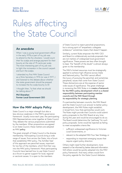

# <span id="page-15-0"></span>Rules affecting the State Council

# **An anecdote**

When I was a young local government officer in the early 1970s a part of my job was to attend to the fox shooters. I would count their fox scalps and arrange payment for their bounty at the rate of 75 cents per scalp. The more interesting part of my job was to light the incinerator in the council carpark and burn the scalps.

I attended my first MAV State Council as a Shire Secretary in 1976 (or was it 1977...) and listened to the debate about whether the state government should be pressed to increase the fox scalp bounty to \$1.

I thought then, "Is that what we should be talking about..?"

**Phil Shanahan Former Local Government CEO**

# **How the MAV adopts Policy**

State Council is a major strength but also a less obvious weakness in the MAV's governance framework. Usually twice each year, the participating MAV Representatives come together at State Council. They debate the various propositions submitted by the members. When propositions are agreed to at State Council, these matters are adopted as MAV policy.

The great strength of State Council is the diverse membership. Participating Councils bring a wide range of issues, from across the State, into a forum that establishes MAV policy. The *Achilles' heel* of this approach are parochial issues, important for too few of the members, which find their way into the MAV policy framework. Most participating Councils have learned how to use State Council as a forum to garner support for local, regional or sectoral causes. It is open to the members

of State Council to reject parochial propositions, but a strong spirit of "empathetic collegiate endeavour" sometimes means that doesn't happen.

Similarly, current Rules empower the MAV CEO and Board to collaboratively exclude proposals that are not matters of widespread local government significance. These powers are less often brought to bear. The "benefit of the doubt" is almost always given to the membership.

The MAV's limited resources must be strategically applied to achieve high influence across State and National policy. The MAV cannot afford the luxury of pursuing the parochial, and sometimes peripheral, issues that come from State Council. These distractions are at the expense of sector wide issues of significance. The great challenge in reviewing the MAV Rules is to create a framework for the MAV's policy development which is a shared responsibility between participating member councils and the MAV Board through its responsibility for strategic planning.

If a partnership between councils, the MAV Board and the State Council is an answer to better policy development, the MAV Rules might establish, in broad form, how that partnership would work. The Rules might provide that Councils could submit policy proposals to the MAV Board at any time during the year and would be encouraged to do so. The Board would determine the "pathway" for such policy proposals. Some would be rejected as failing to meet acceptable criteria like:

- sufficient widespread significance to Victorian Local Governments, or
- relevant to the adopted MAV Four Year Strategy, or
- responding to important emerging issues that require urgent policy direction.

Others might need further development, more research or be informed by better data and information. Still others would be quickly adopted into the MAV policy framework. And many others would form the policy agenda for the State Council debates.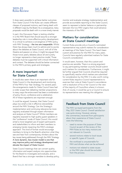

<span id="page-16-0"></span>It does seem possible to achieve better outcomes from State Council if the Rules can create different classes of proposed motions, each being dealt with in different ways by the Board. As a consequence, many proposals would be dealt with in a more timely manner.

In part, this Discussion Paper is testing whether it is the MAV Board that should assume a stronger leadership role in more effective policy development. It is critical to achieve a convergence of MAV policy with MAV Strategy – the two are inseparable. Whilst there has always been much to admire and to excite about the debates at State Council, with all of the theatre and passion on show, it might be argued that those twice yearly debates about all and sundry no longer represents a best practice model. Those debates must be supported with critical information and context. The debates should be better connected to the MAV's primary goals and strategies.

# **A more important role for State Council**

It would also seem there is an important role for State Council in the development and monitoring of the MAV's Four Year Strategy. For several years the arrangements made for State Council have had a wider scope than debating member propositions. In many ways the entire event has been a combination of policy forum, conference and a celebration. All of these ingredients are important enough.

It could be argued, however, that State Council plays too small a role in effective stewardship around the MAV Strategy. Can the Strategy's implementation and continuing relevance be more regularly evaluated through expert information and analysis at State Council? Whilst members are regularly exposed to high quality guest speakers in the "conference" mode of State Council, this would entail a more targeted use of expert participants and stakeholders to inform and alert members to emerging trends impacting the MAV's strategic approach. This kind of format would encourage members to bring to the Board's attention what they see and hear from contemporary thinkers about the key issues being addressed through the MAV Strategy. A more dynamic, less insular model is one that may improve policy and strategy development and elevate the impact of State Council.

State Council meetings that can convert quality information and expert analysis into opportunities for the Board to investigate and evaluate, and a Board that has a stronger mandate to develop policy,

monitor and evaluate strategy implementation and provide accountable reporting to the State Council, seem to represent a better balance or partnership between the two MAV organs that could advance the interests of the MAV.

# **Matters for consideration at State Council meetings**

Current Rules provide only a Council's nominated representative may submit matters for consideration at meetings of the State Council. This hasn't been custom and practice for the MAV for many years. Councils have regularly submitted matters for State Council's consideration.

It would seem, however, that this custom and practice are sensible. There is a strong argument to say participating member councils should submit such matters for consideration. Furthermore, it might be further argued that Councils should be required to specifically resolve which matters are submitted for consideration by the MAV. It is also worth noting current Rules require a Council representative to exercise their vote at State Council in accordance with a resolution of his or her Council or the view of the majority of Councillors where it is known. And, of course, it would be up to a Council to ensure its representative was meeting this obligation.

# **Feedback from State Council**

The MAV surveyed participants from the May 2021 State Council. Overall satisfaction was quite strong. However, among the commentary received from participants about their experience of State Council were the following:

- need to review the purpose of State Council as part of the review of the MAV Rules as too many motions are not relevant to Councils
- several motions relate to local issues or specific types of Councils
- the workload is unsustainable for MAV and dilutes what can be achieved
- motions not related to state issues or the MAV plan should be excluded from the process.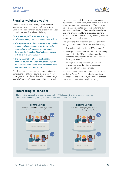

# <span id="page-17-0"></span>**Plural or weighted voting**

Under the current MAV Rules, "larger" councils receive two votes on matters before the State Council whereas "smaller" councils receive one vote on such matters. The relevant Rule says:

*"At any meeting of State Council, voting entitlements on any motion or amendment will be:* 

- *• the representative of each participating member council paying an annual subscription to the Association which exceeds the mid-point between the lowest and highest subscriptions will have two (2) votes; and*
- *• the representative of each participating member council paying an annual subscription to the Association which does not exceed that mid-point will have one (1) vote."*

This Rule is, of course, intended to recognise the constituencies of larger councils are often many times greater than those of smaller councils. Larger councils "represent" more people. However, plural

voting isn't commonly found in member based organisations. By and large, each of the 79 Councils in Victoria exercise the same set of functions and powers and are treated as equals under the law. Victorian laws do not differentiate between larger and smaller councils. None is regarded as more or less important. They are simply uniquely different in many ways, including size.

The questions that arise from this Rule are clear enough but quite complex to answer definitively.

- Does plural voting make the MAV stronger?
- Does plural voting contribute to strengthening and uniting the MAV's member councils in setting the policy framework for Victorian local government?
- Does plural voting have any unintended consequences at the MAV, like creating any kind of city/country divide?

And finally, some of the most important matters settled by State Council include the election of the President and the Board, and neither of those processes is determined by plural voting.

### **Interesting to consider**

Plural voting hasn't always been a feature of MAV Rules and the State Council meetings. There have been many past years when it was one council /one vote.

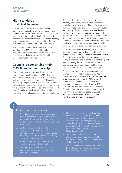<span id="page-18-0"></span>

Current MAV Rules are silent about dealing with conflicts of interest held by the members of State Council. Current MAV Rules do prescribe how some conflicts of interest will be dealt with by Board members. It is conceivable situations will arise whereby MAV Representatives do have a conflict of interest in matters under consideration at State Council.

State Council should uphold best practice ethical standards. The MAV Rules should require the declaration of member's conflicts of interest and prescribe exactly how any member's conflict of interest must be handled.

# **Councils discontinuing their MAV financial membership**

From time to time some Councils discontinue their financial membership of the MAV. The MAV is a membership based organisation. It currently enjoys a strong membership position – all 79 Councils are participating members. However, when Councils withdraw their financial membership the consequences are significant for the MAV. Firstly, the unanticipated loss of membership subscription directly affects MAV services. Job losses are sometimes an outcome.



Secondly, discontinuing financial membership has very occasionally been used to undermine the MAV or the President and Board for a political purpose. These situations are less than satisfactory. Membership of a local government peak body is surely not a year-to-year decision. Of course, the organisation must deliver value to its members, but it also requires a partnership with member councils to flourish. It requires member councils to appreciate the kind of commitment that is required to build an effective organisation that can lead the sector.

Across Australia similar peak organisations often require members to provide reasonable notice of a member's intention to withdraw from membership. Such notice provides the organisation with time to adjust programs and budgets. It mitigates against members using the tactic of withdrawing their membership to achieve a purely political purpose. These matters should require a mature approach.

Current MAV Rules provide a non-participating member council is not entitled to avail itself of the privileges and benefits of any of the functions or services carried out by the MAV. Given the significance of the insurance services and procurement services on offer from the MAV, this operates as a significant disincentive for a Council considering discontinuing its membership. The MAV is a membership based organisation and it would seem reasonable to continue with the current Rules in this respect.

- 1. Should new Rules require the MAV Board plays a stronger role in policy development and establish better standards for the matters which members wish to bring before State Council?
- 2. Could State Council be modified to strategically introduce review processes, informed by expert and stakeholder advice and analysis that better ensure the quality of strategy development?
- 3. Is plural voting at State Council in the long term best interests of the MAV?
- 4. Should MAV Rules require State Council members to declare and manage their conflicts of interest?
- 5. Should new Rules require participating member councils, and not the Council's representative, to submit matters for the consideration of the MAV, through State Council or other appropriate "pathways", and should such matters being submitted be confirmed by a resolution of the Council concerned?
- 6. Should member councils wishing to discontinue their financial membership be required to provide reasonable notice of their intention?
- Should the new MAV Rules retain provisions for excluding a non-participating council from using any MAV services?